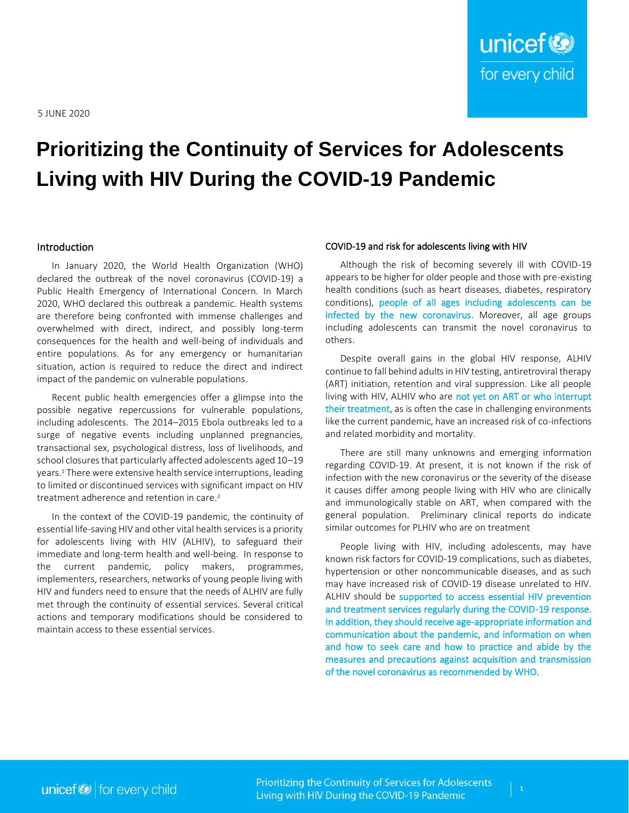# **Prioritizing the Continuity of Services for Adolescents Living with HIV During the COVID-19 Pandemic**

#### Introduction

In January 2020, the World Health Organization (WHO) declared the outbreak of the novel coronavirus (COVID-19) a Public Health Emergency of International Concern. In March 2020, WHO declared this outbreak a pandemic. Health systems are therefore being confronted with immense challenges and overwhelmed with direct, indirect, and possibly long-term consequences for the health and well-being of individuals and entire populations. As for any emergency or humanitarian situation, action is required to reduce the direct and indirect impact of the pandemic on vulnerable populations.

Recent public health emergencies offer a glimpse into the possible negative repercussions for vulnerable populations, including adolescents. The 2014–2015 Ebola outbreaks led to a surge of negative events including unplanned pregnancies, transactional sex, psychological distress, loss of livelihoods, and school closures that particularly affected adolescents aged 10–19 years. <sup>1</sup> There were extensive health service interruptions, leading to limited or discontinued services with significant impact on HIV treatment adherence and retention in care. 2

In the context of the COVID-19 pandemic, the continuity of essential life-saving HIV and other vital health services is a priority for adolescents living with HIV (ALHIV), to safeguard their immediate and long-term health and well-being. In response to the current pandemic, policy makers, programmes, implementers, researchers, networks of young people living with HIV and funders need to ensure that the needs of ALHIV are fully met through the continuity of essential services. Several critical actions and temporary modifications should be considered to maintain access to these essential services.

#### COVID-19 and risk for adolescents living with HIV

Although the risk of becoming severely ill with COVID-19 appears to be higher for older people and those with pre-existing health conditions (such as heart diseases, diabetes, respiratory conditions), people of all ages including adolescents can be infected by the new coronavirus. Moreover, all age groups including adolescents can transmit the novel coronavirus to others.

Despite overall gains in the global HIV response, ALHIV continue to fall behind adults in HIV testing, antiretroviral therapy (ART) initiation, retention and viral suppression. Like all people living with HIV, ALHIV who are not yet on ART or who interrupt their treatment, as is often the case in challenging environments like the current pandemic, have an increased risk of co-infections and related morbidity and mortality.

There are still many unknowns and emerging information regarding COVID-19. At present, it is not known if the risk of infection with the new coronavirus or the severity of the disease it causes differ among people living with HIV who are clinically and immunologically stable on ART, when compared with the general population. Preliminary clinical reports do indicate similar outcomes for PLHIV who are on treatment

People living with HIV, including adolescents, may have known risk factors for COVID-19 complications, such as diabetes, hypertension or other noncommunicable diseases, and as such may have increased risk of COVID-19 disease unrelated to HIV. ALHIV should be supported to access essential HIV prevention and treatment services regularly during the COVID-19 response. In addition, they should receive age-appropriate information and communication about the pandemic, and information on when and how to seek care and how to practice and abide by the measures and precautions against acquisition and transmission of the novel coronavirus as recommended by WHO.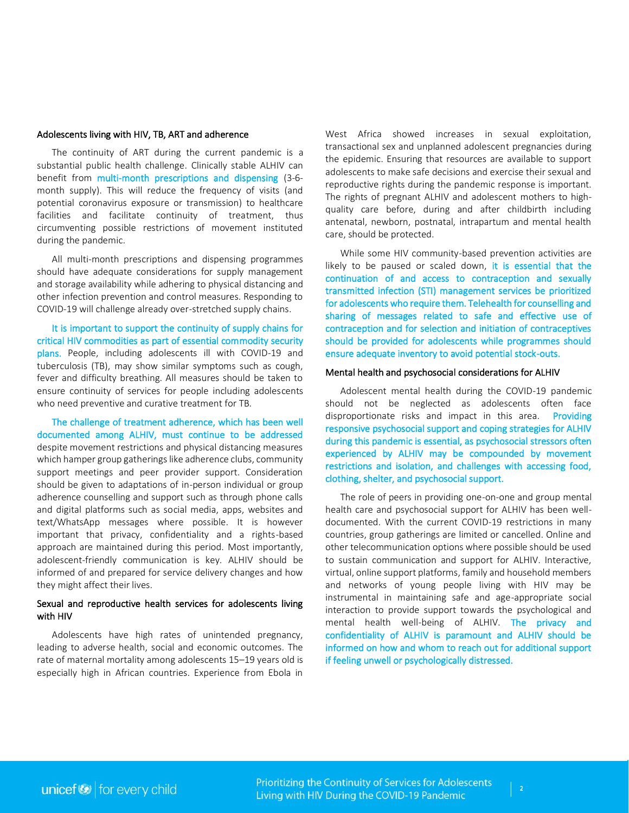## Adolescents living with HIV, TB, ART and adherence

The continuity of ART during the current pandemic is a substantial public health challenge. Clinically stable ALHIV can benefit from multi-month prescriptions and dispensing (3-6 month supply). This will reduce the frequency of visits (and potential coronavirus exposure or transmission) to healthcare facilities and facilitate continuity of treatment, thus circumventing possible restrictions of movement instituted during the pandemic.

All multi-month prescriptions and dispensing programmes should have adequate considerations for supply management and storage availability while adhering to physical distancing and other infection prevention and control measures. Responding to COVID-19 will challenge already over-stretched supply chains.

It is important to support the continuity of supply chains for critical HIV commodities as part of essential commodity security plans. People, including adolescents ill with COVID-19 and tuberculosis (TB), may show similar symptoms such as cough, fever and difficulty breathing. All measures should be taken to ensure continuity of services for people including adolescents who need preventive and curative treatment for TB.

The challenge of treatment adherence, which has been well documented among ALHIV, must continue to be addressed despite movement restrictions and physical distancing measures which hamper group gatherings like adherence clubs, community support meetings and peer provider support. Consideration should be given to adaptations of in-person individual or group adherence counselling and support such as through phone calls and digital platforms such as social media, apps, websites and text/WhatsApp messages where possible. It is however important that privacy, confidentiality and a rights-based approach are maintained during this period. Most importantly, adolescent-friendly communication is key. ALHIV should be informed of and prepared for service delivery changes and how they might affect their lives.

## Sexual and reproductive health services for adolescents living with HIV

Adolescents have high rates of unintended pregnancy, leading to adverse health, social and economic outcomes. The rate of maternal mortality among adolescents 15–19 years old is especially high in African countries. Experience from Ebola in West Africa showed increases in sexual exploitation, transactional sex and unplanned adolescent pregnancies during the epidemic. Ensuring that resources are available to support adolescents to make safe decisions and exercise their sexual and reproductive rights during the pandemic response is important. The rights of pregnant ALHIV and adolescent mothers to highquality care before, during and after childbirth including antenatal, newborn, postnatal, intrapartum and mental health care, should be protected.

While some HIV community-based prevention activities are likely to be paused or scaled down, it is essential that the continuation of and access to contraception and sexually transmitted infection (STI) management services be prioritized for adolescents who require them. Telehealth for counselling and sharing of messages related to safe and effective use of contraception and for selection and initiation of contraceptives should be provided for adolescents while programmes should ensure adequate inventory to avoid potential stock-outs.

## Mental health and psychosocial considerations for ALHIV

Adolescent mental health during the COVID-19 pandemic should not be neglected as adolescents often face disproportionate risks and impact in this area. Providing responsive psychosocial support and coping strategies for ALHIV during this pandemic is essential, as psychosocial stressors often experienced by ALHIV may be compounded by movement restrictions and isolation, and challenges with accessing food, clothing, shelter, and psychosocial support.

The role of peers in providing one-on-one and group mental health care and psychosocial support for ALHIV has been welldocumented. With the current COVID-19 restrictions in many countries, group gatherings are limited or cancelled. Online and other telecommunication options where possible should be used to sustain communication and support for ALHIV. Interactive, virtual, online support platforms, family and household members and networks of young people living with HIV may be instrumental in maintaining safe and age-appropriate social interaction to provide support towards the psychological and mental health well-being of ALHIV. The privacy and confidentiality of ALHIV is paramount and ALHIV should be informed on how and whom to reach out for additional support if feeling unwell or psychologically distressed.